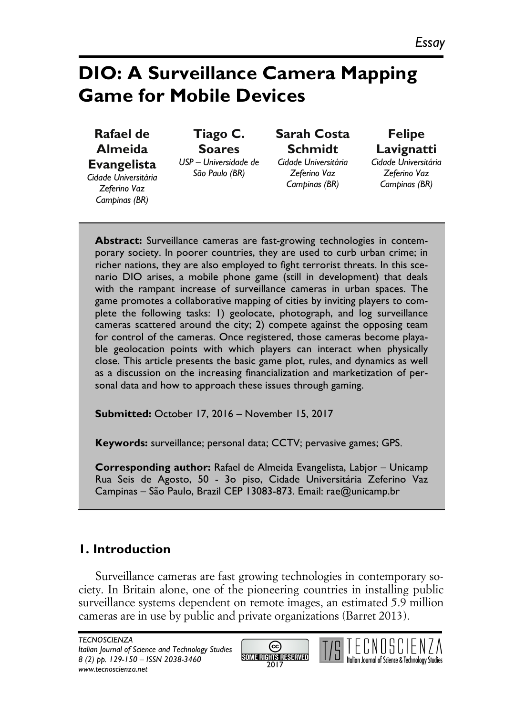# **DIO: A Surveillance Camera Mapping Game for Mobile Devices**

**Rafael de Almeida Evangelista** *Cidade Universitária Zeferino Vaz Campinas (BR)*

**Tiago C. Soares** *USP – Universidade de São Paulo (BR)*

**Sarah Costa Schmidt** *Cidade Universitária* 

*Zeferino Vaz Campinas (BR)*

**Felipe Lavignatti** *Cidade Universitária Zeferino Vaz Campinas (BR)*

**Abstract:** Surveillance cameras are fast-growing technologies in contemporary society. In poorer countries, they are used to curb urban crime; in richer nations, they are also employed to fight terrorist threats. In this scenario DIO arises, a mobile phone game (still in development) that deals with the rampant increase of surveillance cameras in urban spaces. The game promotes a collaborative mapping of cities by inviting players to complete the following tasks: 1) geolocate, photograph, and log surveillance cameras scattered around the city; 2) compete against the opposing team for control of the cameras. Once registered, those cameras become playable geolocation points with which players can interact when physically close. This article presents the basic game plot, rules, and dynamics as well as a discussion on the increasing financialization and marketization of personal data and how to approach these issues through gaming.

**Submitted:** October 17, 2016 – November 15, 2017

**Keywords:** surveillance; personal data; CCTV; pervasive games; GPS.

**Corresponding author:** Rafael de Almeida Evangelista, Labjor – Unicamp Rua Seis de Agosto, 50 - 3o piso, Cidade Universitária Zeferino Vaz Campinas – São Paulo, Brazil CEP 13083-873. Email: rae@unicamp.br

## **1. Introduction**

Surveillance cameras are fast growing technologies in contemporary society. In Britain alone, one of the pioneering countries in installing public surveillance systems dependent on remote images, an estimated 5.9 million cameras are in use by public and private organizations (Barret 2013).



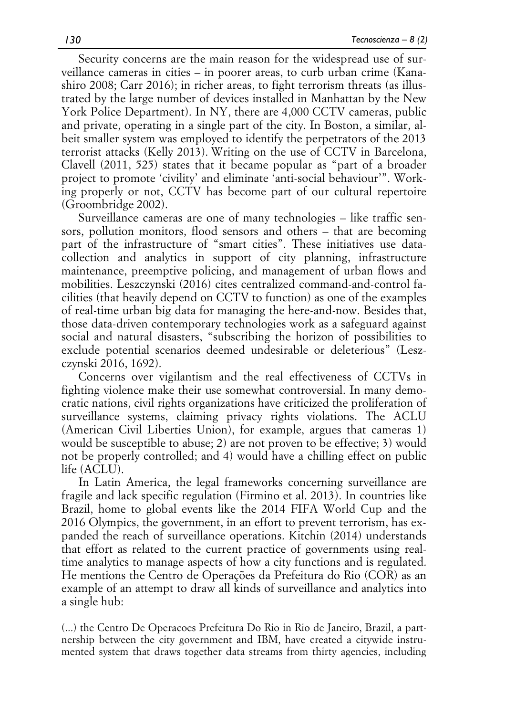Security concerns are the main reason for the widespread use of surveillance cameras in cities – in poorer areas, to curb urban crime (Kanashiro 2008; Carr 2016); in richer areas, to fight terrorism threats (as illustrated by the large number of devices installed in Manhattan by the New York Police Department). In NY, there are 4,000 CCTV cameras, public and private, operating in a single part of the city. In Boston, a similar, albeit smaller system was employed to identify the perpetrators of the 2013 terrorist attacks (Kelly 2013). Writing on the use of CCTV in Barcelona, Clavell (2011, 525) states that it became popular as "part of a broader project to promote 'civility' and eliminate 'anti-social behaviour'". Working properly or not, CCTV has become part of our cultural repertoire (Groombridge 2002).

Surveillance cameras are one of many technologies – like traffic sensors, pollution monitors, flood sensors and others – that are becoming part of the infrastructure of "smart cities". These initiatives use datacollection and analytics in support of city planning, infrastructure maintenance, preemptive policing, and management of urban flows and mobilities. Leszczynski (2016) cites centralized command-and-control facilities (that heavily depend on CCTV to function) as one of the examples of real-time urban big data for managing the here-and-now. Besides that, those data-driven contemporary technologies work as a safeguard against social and natural disasters, "subscribing the horizon of possibilities to exclude potential scenarios deemed undesirable or deleterious" (Leszczynski 2016, 1692).

Concerns over vigilantism and the real effectiveness of CCTVs in fighting violence make their use somewhat controversial. In many democratic nations, civil rights organizations have criticized the proliferation of surveillance systems, claiming privacy rights violations. The ACLU (American Civil Liberties Union), for example, argues that cameras 1) would be susceptible to abuse; 2) are not proven to be effective; 3) would not be properly controlled; and 4) would have a chilling effect on public life (ACLU).

In Latin America, the legal frameworks concerning surveillance are fragile and lack specific regulation (Firmino et al. 2013). In countries like Brazil, home to global events like the 2014 FIFA World Cup and the 2016 Olympics, the government, in an effort to prevent terrorism, has expanded the reach of surveillance operations. Kitchin (2014) understands that effort as related to the current practice of governments using realtime analytics to manage aspects of how a city functions and is regulated. He mentions the Centro de Operações da Prefeitura do Rio (COR) as an example of an attempt to draw all kinds of surveillance and analytics into a single hub:

(...) the Centro De Operacoes Prefeitura Do Rio in Rio de Janeiro, Brazil, a partnership between the city government and IBM, have created a citywide instrumented system that draws together data streams from thirty agencies, including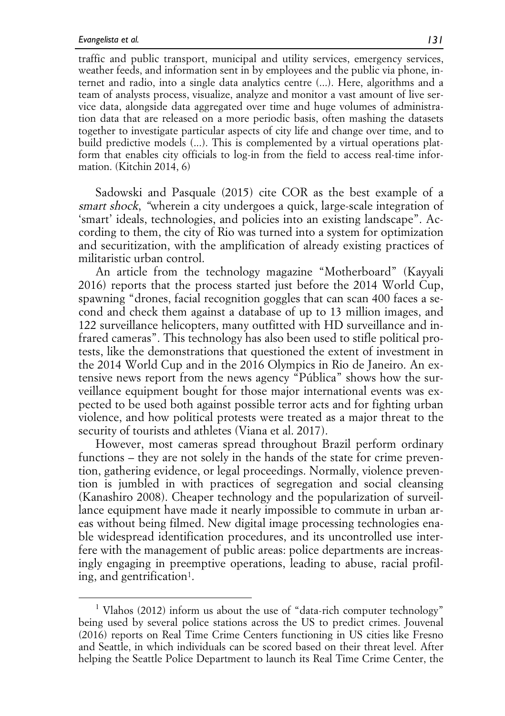traffic and public transport, municipal and utility services, emergency services, weather feeds, and information sent in by employees and the public via phone, internet and radio, into a single data analytics centre (...). Here, algorithms and a team of analysts process, visualize, analyze and monitor a vast amount of live service data, alongside data aggregated over time and huge volumes of administration data that are released on a more periodic basis, often mashing the datasets together to investigate particular aspects of city life and change over time, and to build predictive models (...). This is complemented by a virtual operations platform that enables city officials to log-in from the field to access real-time information. (Kitchin 2014, 6)

Sadowski and Pasquale (2015) cite COR as the best example of a smart shock, "wherein a city undergoes a quick, large-scale integration of 'smart' ideals, technologies, and policies into an existing landscape". According to them, the city of Rio was turned into a system for optimization and securitization, with the amplification of already existing practices of militaristic urban control.

An article from the technology magazine "Motherboard" (Kayyali 2016) reports that the process started just before the 2014 World Cup, spawning "drones, facial recognition goggles that can scan 400 faces a second and check them against a database of up to 13 million images, and 122 surveillance helicopters, many outfitted with HD surveillance and infrared cameras". This technology has also been used to stifle political protests, like the demonstrations that questioned the extent of investment in the 2014 World Cup and in the 2016 Olympics in Rio de Janeiro. An extensive news report from the news agency "Pública" shows how the surveillance equipment bought for those major international events was expected to be used both against possible terror acts and for fighting urban violence, and how political protests were treated as a major threat to the security of tourists and athletes (Viana et al. 2017).

However, most cameras spread throughout Brazil perform ordinary functions – they are not solely in the hands of the state for crime prevention, gathering evidence, or legal proceedings. Normally, violence prevention is jumbled in with practices of segregation and social cleansing (Kanashiro 2008). Cheaper technology and the popularization of surveillance equipment have made it nearly impossible to commute in urban areas without being filmed. New digital image processing technologies enable widespread identification procedures, and its uncontrolled use interfere with the management of public areas: police departments are increasingly engaging in preemptive operations, leading to abuse, racial profiling, and gentrification<sup>1</sup>.

<sup>&</sup>lt;sup>1</sup> Vlahos (2012) inform us about the use of "data-rich computer technology" being used by several police stations across the US to predict crimes. Jouvenal (2016) reports on Real Time Crime Centers functioning in US cities like Fresno and Seattle, in which individuals can be scored based on their threat level. After helping the Seattle Police Department to launch its Real Time Crime Center, the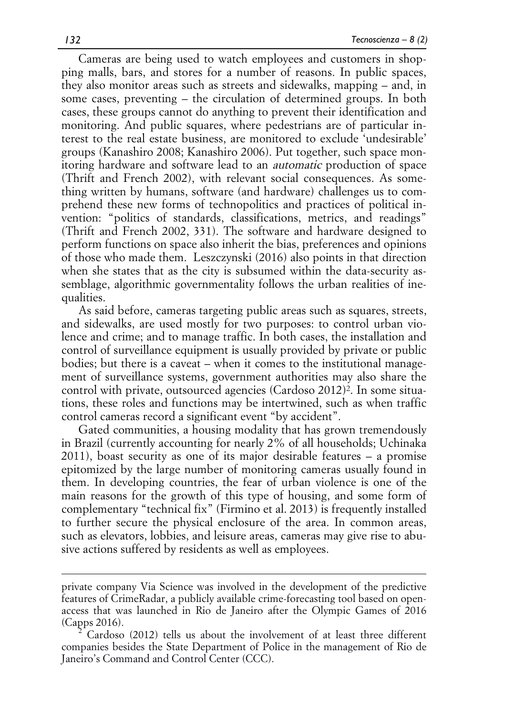Cameras are being used to watch employees and customers in shopping malls, bars, and stores for a number of reasons. In public spaces, they also monitor areas such as streets and sidewalks, mapping – and, in some cases, preventing – the circulation of determined groups. In both cases, these groups cannot do anything to prevent their identification and monitoring. And public squares, where pedestrians are of particular interest to the real estate business, are monitored to exclude 'undesirable' groups (Kanashiro 2008; Kanashiro 2006). Put together, such space monitoring hardware and software lead to an automatic production of space (Thrift and French 2002), with relevant social consequences. As something written by humans, software (and hardware) challenges us to comprehend these new forms of technopolitics and practices of political invention: "politics of standards, classifications, metrics, and readings" (Thrift and French 2002, 331). The software and hardware designed to perform functions on space also inherit the bias, preferences and opinions of those who made them. Leszczynski (2016) also points in that direction when she states that as the city is subsumed within the data-security assemblage, algorithmic governmentality follows the urban realities of inequalities.

As said before, cameras targeting public areas such as squares, streets, and sidewalks, are used mostly for two purposes: to control urban violence and crime; and to manage traffic. In both cases, the installation and control of surveillance equipment is usually provided by private or public bodies; but there is a caveat – when it comes to the institutional management of surveillance systems, government authorities may also share the control with private, outsourced agencies (Cardoso 2012)2. In some situations, these roles and functions may be intertwined, such as when traffic control cameras record a significant event "by accident".

Gated communities, a housing modality that has grown tremendously in Brazil (currently accounting for nearly 2% of all households; Uchinaka 2011), boast security as one of its major desirable features – a promise epitomized by the large number of monitoring cameras usually found in them. In developing countries, the fear of urban violence is one of the main reasons for the growth of this type of housing, and some form of complementary "technical fix" (Firmino et al. 2013) is frequently installed to further secure the physical enclosure of the area. In common areas, such as elevators, lobbies, and leisure areas, cameras may give rise to abusive actions suffered by residents as well as employees.

 

private company Via Science was involved in the development of the predictive features of CrimeRadar, a publicly available crime-forecasting tool based on openaccess that was launched in Rio de Janeiro after the Olympic Games of 2016 (Capps 2016). <sup>2</sup> Cardoso (2012) tells us about the involvement of at least three different

companies besides the State Department of Police in the management of Rio de Janeiro's Command and Control Center (CCC).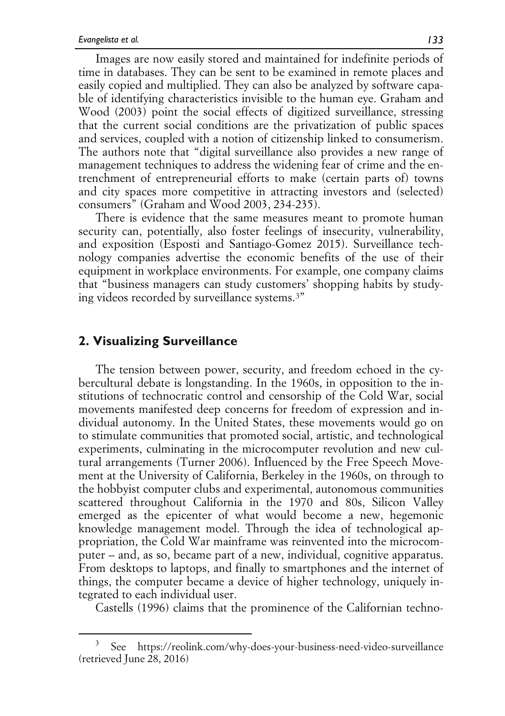Images are now easily stored and maintained for indefinite periods of time in databases. They can be sent to be examined in remote places and easily copied and multiplied. They can also be analyzed by software capable of identifying characteristics invisible to the human eye. Graham and Wood (2003) point the social effects of digitized surveillance, stressing that the current social conditions are the privatization of public spaces and services, coupled with a notion of citizenship linked to consumerism. The authors note that "digital surveillance also provides a new range of management techniques to address the widening fear of crime and the entrenchment of entrepreneurial efforts to make (certain parts of) towns and city spaces more competitive in attracting investors and (selected) consumers" (Graham and Wood 2003, 234-235).

There is evidence that the same measures meant to promote human security can, potentially, also foster feelings of insecurity, vulnerability, and exposition (Esposti and Santiago-Gomez 2015). Surveillance technology companies advertise the economic benefits of the use of their equipment in workplace environments. For example, one company claims that "business managers can study customers' shopping habits by studying videos recorded by surveillance systems.3"

### **2. Visualizing Surveillance**

The tension between power, security, and freedom echoed in the cybercultural debate is longstanding. In the 1960s, in opposition to the institutions of technocratic control and censorship of the Cold War, social movements manifested deep concerns for freedom of expression and individual autonomy. In the United States, these movements would go on to stimulate communities that promoted social, artistic, and technological experiments, culminating in the microcomputer revolution and new cultural arrangements (Turner 2006). Influenced by the Free Speech Movement at the University of California, Berkeley in the 1960s, on through to the hobbyist computer clubs and experimental, autonomous communities scattered throughout California in the 1970 and 80s, Silicon Valley emerged as the epicenter of what would become a new, hegemonic knowledge management model. Through the idea of technological appropriation, the Cold War mainframe was reinvented into the microcomputer – and, as so, became part of a new, individual, cognitive apparatus. From desktops to laptops, and finally to smartphones and the internet of things, the computer became a device of higher technology, uniquely integrated to each individual user.

Castells (1996) claims that the prominence of the Californian techno-

See https://reolink.com/why-does-your-business-need-video-surveillance (retrieved June 28, 2016)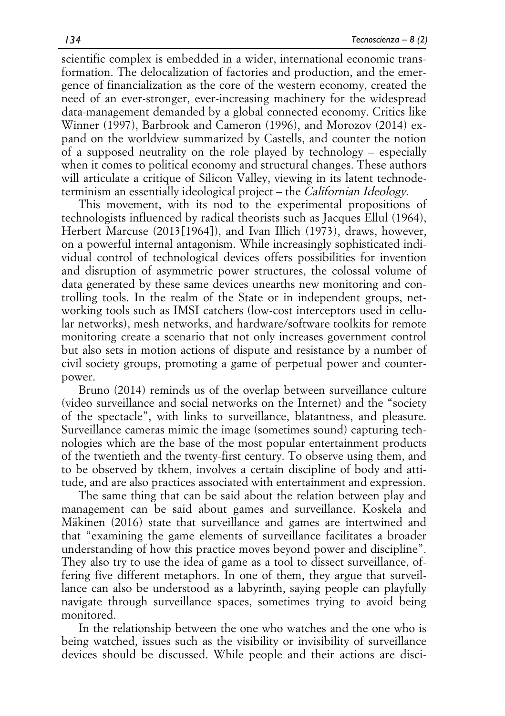scientific complex is embedded in a wider, international economic transformation. The delocalization of factories and production, and the emergence of financialization as the core of the western economy, created the need of an ever-stronger, ever-increasing machinery for the widespread data-management demanded by a global connected economy. Critics like Winner (1997), Barbrook and Cameron (1996), and Morozov (2014) expand on the worldview summarized by Castells, and counter the notion of a supposed neutrality on the role played by technology – especially when it comes to political economy and structural changes. These authors will articulate a critique of Silicon Valley, viewing in its latent technodeterminism an essentially ideological project – the Californian Ideology.

This movement, with its nod to the experimental propositions of technologists influenced by radical theorists such as Jacques Ellul (1964), Herbert Marcuse (2013[1964]), and Ivan Illich (1973), draws, however, on a powerful internal antagonism. While increasingly sophisticated individual control of technological devices offers possibilities for invention and disruption of asymmetric power structures, the colossal volume of data generated by these same devices unearths new monitoring and controlling tools. In the realm of the State or in independent groups, networking tools such as IMSI catchers (low-cost interceptors used in cellular networks), mesh networks, and hardware/software toolkits for remote monitoring create a scenario that not only increases government control but also sets in motion actions of dispute and resistance by a number of civil society groups, promoting a game of perpetual power and counterpower.

Bruno (2014) reminds us of the overlap between surveillance culture (video surveillance and social networks on the Internet) and the "society of the spectacle", with links to surveillance, blatantness, and pleasure. Surveillance cameras mimic the image (sometimes sound) capturing technologies which are the base of the most popular entertainment products of the twentieth and the twenty-first century. To observe using them, and to be observed by tkhem, involves a certain discipline of body and attitude, and are also practices associated with entertainment and expression.

The same thing that can be said about the relation between play and management can be said about games and surveillance. Koskela and Mäkinen (2016) state that surveillance and games are intertwined and that "examining the game elements of surveillance facilitates a broader understanding of how this practice moves beyond power and discipline". They also try to use the idea of game as a tool to dissect surveillance, offering five different metaphors. In one of them, they argue that surveillance can also be understood as a labyrinth, saying people can playfully navigate through surveillance spaces, sometimes trying to avoid being monitored.

In the relationship between the one who watches and the one who is being watched, issues such as the visibility or invisibility of surveillance devices should be discussed. While people and their actions are disci-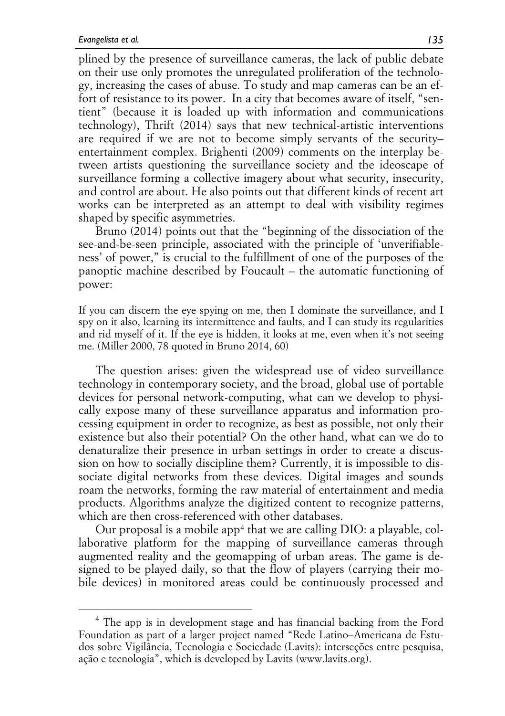plined by the presence of surveillance cameras, the lack of public debate on their use only promotes the unregulated proliferation of the technology, increasing the cases of abuse. To study and map cameras can be an effort of resistance to its power. In a city that becomes aware of itself, "sentient" (because it is loaded up with information and communications technology), Thrift (2014) says that new technical-artistic interventions are required if we are not to become simply servants of the security– entertainment complex. Brighenti (2009) comments on the interplay between artists questioning the surveillance society and the ideoscape of surveillance forming a collective imagery about what security, insecurity, and control are about. He also points out that different kinds of recent art works can be interpreted as an attempt to deal with visibility regimes shaped by specific asymmetries.

Bruno (2014) points out that the "beginning of the dissociation of the see-and-be-seen principle, associated with the principle of 'unverifiableness' of power," is crucial to the fulfillment of one of the purposes of the panoptic machine described by Foucault – the automatic functioning of power:

If you can discern the eye spying on me, then I dominate the surveillance, and I spy on it also, learning its intermittence and faults, and I can study its regularities and rid myself of it. If the eye is hidden, it looks at me, even when it's not seeing me. (Miller 2000, 78 quoted in Bruno 2014, 60)

The question arises: given the widespread use of video surveillance technology in contemporary society, and the broad, global use of portable devices for personal network-computing, what can we develop to physically expose many of these surveillance apparatus and information processing equipment in order to recognize, as best as possible, not only their existence but also their potential? On the other hand, what can we do to denaturalize their presence in urban settings in order to create a discussion on how to socially discipline them? Currently, it is impossible to dissociate digital networks from these devices. Digital images and sounds roam the networks, forming the raw material of entertainment and media products. Algorithms analyze the digitized content to recognize patterns, which are then cross-referenced with other databases.

Our proposal is a mobile app<sup>4</sup> that we are calling DIO: a playable, collaborative platform for the mapping of surveillance cameras through augmented reality and the geomapping of urban areas. The game is designed to be played daily, so that the flow of players (carrying their mobile devices) in monitored areas could be continuously processed and

<sup>&</sup>lt;sup>4</sup> The app is in development stage and has financial backing from the Ford Foundation as part of a larger project named "Rede Latino–Americana de Estudos sobre Vigilância, Tecnologia e Sociedade (Lavits): interseções entre pesquisa, ação e tecnologia", which is developed by Lavits (www.lavits.org).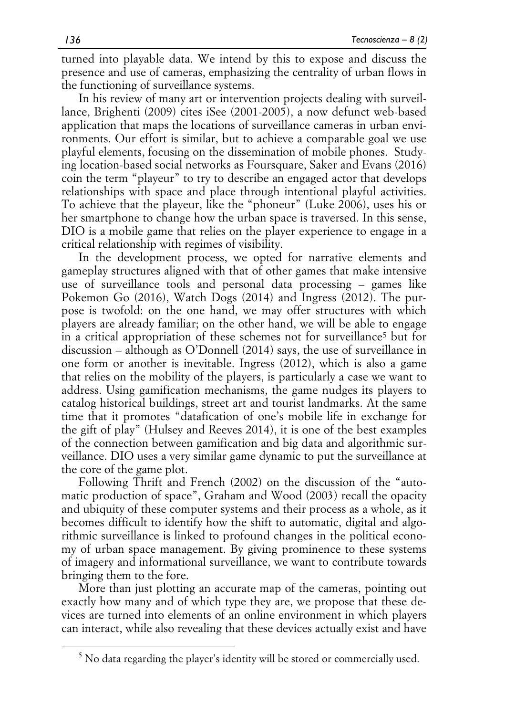turned into playable data. We intend by this to expose and discuss the presence and use of cameras, emphasizing the centrality of urban flows in the functioning of surveillance systems.

In his review of many art or intervention projects dealing with surveillance, Brighenti (2009) cites iSee (2001-2005), a now defunct web-based application that maps the locations of surveillance cameras in urban environments. Our effort is similar, but to achieve a comparable goal we use playful elements, focusing on the dissemination of mobile phones. Studying location-based social networks as Foursquare, Saker and Evans (2016) coin the term "playeur" to try to describe an engaged actor that develops relationships with space and place through intentional playful activities. To achieve that the playeur, like the "phoneur" (Luke 2006), uses his or her smartphone to change how the urban space is traversed. In this sense, DIO is a mobile game that relies on the player experience to engage in a critical relationship with regimes of visibility.

In the development process, we opted for narrative elements and gameplay structures aligned with that of other games that make intensive use of surveillance tools and personal data processing – games like Pokemon Go (2016), Watch Dogs (2014) and Ingress (2012). The purpose is twofold: on the one hand, we may offer structures with which players are already familiar; on the other hand, we will be able to engage in a critical appropriation of these schemes not for surveillance<sup>5</sup> but for discussion – although as O'Donnell (2014) says, the use of surveillance in one form or another is inevitable. Ingress (2012), which is also a game that relies on the mobility of the players, is particularly a case we want to address. Using gamification mechanisms, the game nudges its players to catalog historical buildings, street art and tourist landmarks. At the same time that it promotes "datafication of one's mobile life in exchange for the gift of play" (Hulsey and Reeves 2014), it is one of the best examples of the connection between gamification and big data and algorithmic surveillance. DIO uses a very similar game dynamic to put the surveillance at the core of the game plot.

Following Thrift and French (2002) on the discussion of the "automatic production of space", Graham and Wood (2003) recall the opacity and ubiquity of these computer systems and their process as a whole, as it becomes difficult to identify how the shift to automatic, digital and algorithmic surveillance is linked to profound changes in the political economy of urban space management. By giving prominence to these systems of imagery and informational surveillance, we want to contribute towards bringing them to the fore.

More than just plotting an accurate map of the cameras, pointing out exactly how many and of which type they are, we propose that these devices are turned into elements of an online environment in which players can interact, while also revealing that these devices actually exist and have

 $<sup>5</sup>$  No data regarding the player's identity will be stored or commercially used.</sup>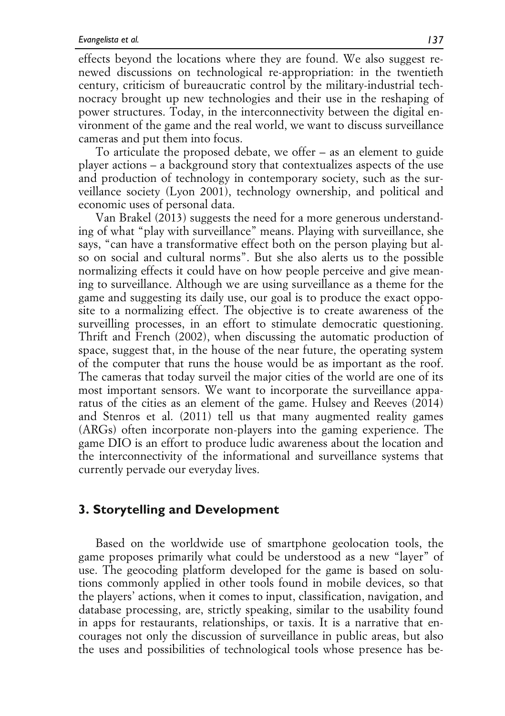effects beyond the locations where they are found. We also suggest renewed discussions on technological re-appropriation: in the twentieth century, criticism of bureaucratic control by the military-industrial technocracy brought up new technologies and their use in the reshaping of power structures. Today, in the interconnectivity between the digital environment of the game and the real world, we want to discuss surveillance cameras and put them into focus.

To articulate the proposed debate, we offer – as an element to guide player actions – a background story that contextualizes aspects of the use and production of technology in contemporary society, such as the surveillance society (Lyon 2001), technology ownership, and political and economic uses of personal data.

Van Brakel (2013) suggests the need for a more generous understanding of what "play with surveillance" means. Playing with surveillance, she says, "can have a transformative effect both on the person playing but also on social and cultural norms". But she also alerts us to the possible normalizing effects it could have on how people perceive and give meaning to surveillance. Although we are using surveillance as a theme for the game and suggesting its daily use, our goal is to produce the exact opposite to a normalizing effect. The objective is to create awareness of the surveilling processes, in an effort to stimulate democratic questioning. Thrift and French (2002), when discussing the automatic production of space, suggest that, in the house of the near future, the operating system of the computer that runs the house would be as important as the roof. The cameras that today surveil the major cities of the world are one of its most important sensors. We want to incorporate the surveillance apparatus of the cities as an element of the game. Hulsey and Reeves (2014) and Stenros et al. (2011) tell us that many augmented reality games (ARGs) often incorporate non-players into the gaming experience. The game DIO is an effort to produce ludic awareness about the location and the interconnectivity of the informational and surveillance systems that currently pervade our everyday lives.

### **3. Storytelling and Development**

Based on the worldwide use of smartphone geolocation tools, the game proposes primarily what could be understood as a new "layer" of use. The geocoding platform developed for the game is based on solutions commonly applied in other tools found in mobile devices, so that the players' actions, when it comes to input, classification, navigation, and database processing, are, strictly speaking, similar to the usability found in apps for restaurants, relationships, or taxis. It is a narrative that encourages not only the discussion of surveillance in public areas, but also the uses and possibilities of technological tools whose presence has be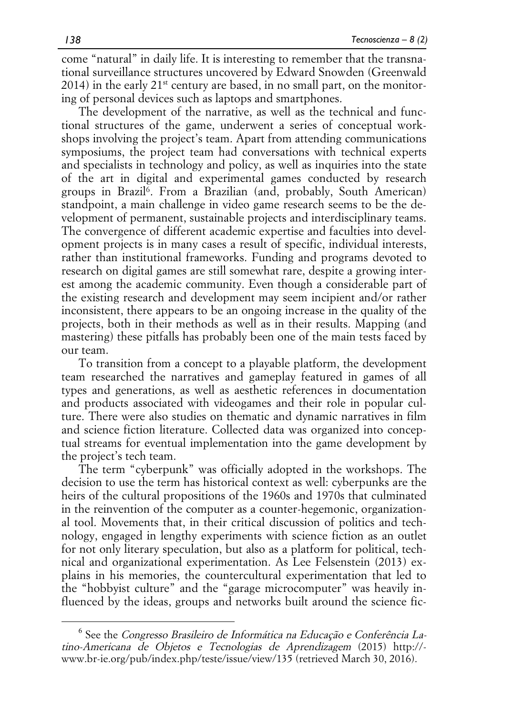come "natural" in daily life. It is interesting to remember that the transnational surveillance structures uncovered by Edward Snowden (Greenwald  $2014$ ) in the early  $21^{st}$  century are based, in no small part, on the monitoring of personal devices such as laptops and smartphones.

The development of the narrative, as well as the technical and functional structures of the game, underwent a series of conceptual workshops involving the project's team. Apart from attending communications symposiums, the project team had conversations with technical experts and specialists in technology and policy, as well as inquiries into the state of the art in digital and experimental games conducted by research groups in Brazil<sup>6</sup>. From a Brazilian (and, probably, South American) standpoint, a main challenge in video game research seems to be the development of permanent, sustainable projects and interdisciplinary teams. The convergence of different academic expertise and faculties into development projects is in many cases a result of specific, individual interests, rather than institutional frameworks. Funding and programs devoted to research on digital games are still somewhat rare, despite a growing interest among the academic community. Even though a considerable part of the existing research and development may seem incipient and/or rather inconsistent, there appears to be an ongoing increase in the quality of the projects, both in their methods as well as in their results. Mapping (and mastering) these pitfalls has probably been one of the main tests faced by our team.

To transition from a concept to a playable platform, the development team researched the narratives and gameplay featured in games of all types and generations, as well as aesthetic references in documentation and products associated with videogames and their role in popular culture. There were also studies on thematic and dynamic narratives in film and science fiction literature. Collected data was organized into conceptual streams for eventual implementation into the game development by the project's tech team.

The term "cyberpunk" was officially adopted in the workshops. The decision to use the term has historical context as well: cyberpunks are the heirs of the cultural propositions of the 1960s and 1970s that culminated in the reinvention of the computer as a counter-hegemonic, organizational tool. Movements that, in their critical discussion of politics and technology, engaged in lengthy experiments with science fiction as an outlet for not only literary speculation, but also as a platform for political, technical and organizational experimentation. As Lee Felsenstein (2013) explains in his memories, the countercultural experimentation that led to the "hobbyist culture" and the "garage microcomputer" was heavily influenced by the ideas, groups and networks built around the science fic-

 <sup>6</sup> See the Congresso Brasileiro de Informática na Educação e Conferência Latino-Americana de Objetos e Tecnologias de Aprendizagem (2015) http:// www.br-ie.org/pub/index.php/teste/issue/view/135 (retrieved March 30, 2016).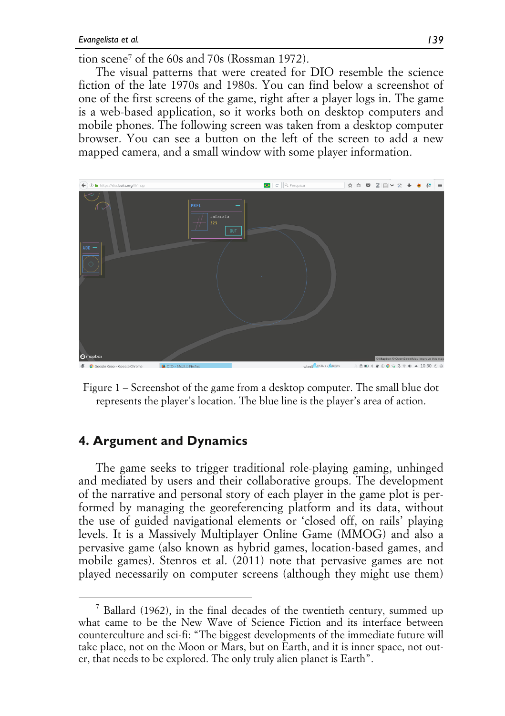tion scene<sup>7</sup> of the 60s and 70s (Rossman 1972).

The visual patterns that were created for DIO resemble the science fiction of the late 1970s and 1980s. You can find below a screenshot of one of the first screens of the game, right after a player logs in. The game is a web-based application, so it works both on desktop computers and mobile phones. The following screen was taken from a desktop computer browser. You can see a button on the left of the screen to add a new mapped camera, and a small window with some player information.



Figure 1 – Screenshot of the game from a desktop computer. The small blue dot represents the player's location. The blue line is the player's area of action.

### **4. Argument and Dynamics**

The game seeks to trigger traditional role-playing gaming, unhinged and mediated by users and their collaborative groups. The development of the narrative and personal story of each player in the game plot is performed by managing the georeferencing platform and its data, without the use of guided navigational elements or 'closed off, on rails' playing levels. It is a Massively Multiplayer Online Game (MMOG) and also a pervasive game (also known as hybrid games, location-based games, and mobile games). Stenros et al. (2011) note that pervasive games are not played necessarily on computer screens (although they might use them)

 $7$  Ballard (1962), in the final decades of the twentieth century, summed up what came to be the New Wave of Science Fiction and its interface between counterculture and sci-fi: "The biggest developments of the immediate future will take place, not on the Moon or Mars, but on Earth, and it is inner space, not outer, that needs to be explored. The only truly alien planet is Earth".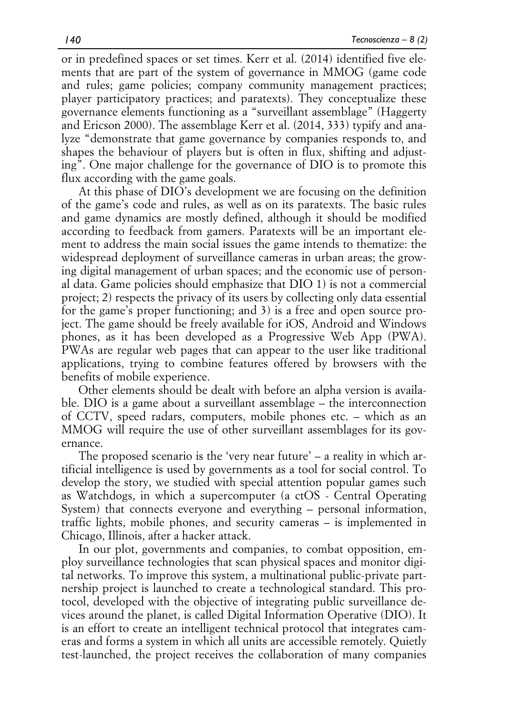or in predefined spaces or set times. Kerr et al. (2014) identified five elements that are part of the system of governance in MMOG (game code and rules; game policies; company community management practices; player participatory practices; and paratexts). They conceptualize these governance elements functioning as a "surveillant assemblage" (Haggerty and Ericson 2000). The assemblage Kerr et al. (2014, 333) typify and analyze "demonstrate that game governance by companies responds to, and shapes the behaviour of players but is often in flux, shifting and adjusting". One major challenge for the governance of DIO is to promote this flux according with the game goals.

At this phase of DIO's development we are focusing on the definition of the game's code and rules, as well as on its paratexts. The basic rules and game dynamics are mostly defined, although it should be modified according to feedback from gamers. Paratexts will be an important element to address the main social issues the game intends to thematize: the widespread deployment of surveillance cameras in urban areas; the growing digital management of urban spaces; and the economic use of personal data. Game policies should emphasize that DIO 1) is not a commercial project; 2) respects the privacy of its users by collecting only data essential for the game's proper functioning; and 3) is a free and open source project. The game should be freely available for iOS, Android and Windows phones, as it has been developed as a Progressive Web App (PWA). PWAs are regular web pages that can appear to the user like traditional applications, trying to combine features offered by browsers with the benefits of mobile experience.

Other elements should be dealt with before an alpha version is available. DIO is a game about a surveillant assemblage – the interconnection of CCTV, speed radars, computers, mobile phones etc. – which as an MMOG will require the use of other surveillant assemblages for its governance.

The proposed scenario is the 'very near future' – a reality in which artificial intelligence is used by governments as a tool for social control. To develop the story, we studied with special attention popular games such as Watchdogs, in which a supercomputer (a ctOS - Central Operating System) that connects everyone and everything – personal information, traffic lights, mobile phones, and security cameras – is implemented in Chicago, Illinois, after a hacker attack.

In our plot, governments and companies, to combat opposition, employ surveillance technologies that scan physical spaces and monitor digital networks. To improve this system, a multinational public-private partnership project is launched to create a technological standard. This protocol, developed with the objective of integrating public surveillance devices around the planet, is called Digital Information Operative (DIO). It is an effort to create an intelligent technical protocol that integrates cameras and forms a system in which all units are accessible remotely. Quietly test-launched, the project receives the collaboration of many companies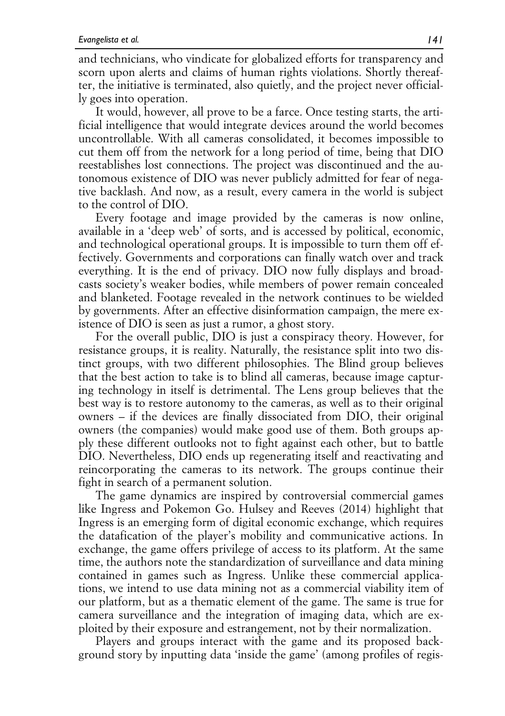and technicians, who vindicate for globalized efforts for transparency and scorn upon alerts and claims of human rights violations. Shortly thereafter, the initiative is terminated, also quietly, and the project never officially goes into operation.

It would, however, all prove to be a farce. Once testing starts, the artificial intelligence that would integrate devices around the world becomes uncontrollable. With all cameras consolidated, it becomes impossible to cut them off from the network for a long period of time, being that DIO reestablishes lost connections. The project was discontinued and the autonomous existence of DIO was never publicly admitted for fear of negative backlash. And now, as a result, every camera in the world is subject to the control of DIO.

Every footage and image provided by the cameras is now online, available in a 'deep web' of sorts, and is accessed by political, economic, and technological operational groups. It is impossible to turn them off effectively. Governments and corporations can finally watch over and track everything. It is the end of privacy. DIO now fully displays and broadcasts society's weaker bodies, while members of power remain concealed and blanketed. Footage revealed in the network continues to be wielded by governments. After an effective disinformation campaign, the mere existence of DIO is seen as just a rumor, a ghost story.

For the overall public, DIO is just a conspiracy theory. However, for resistance groups, it is reality. Naturally, the resistance split into two distinct groups, with two different philosophies. The Blind group believes that the best action to take is to blind all cameras, because image capturing technology in itself is detrimental. The Lens group believes that the best way is to restore autonomy to the cameras, as well as to their original owners – if the devices are finally dissociated from DIO, their original owners (the companies) would make good use of them. Both groups apply these different outlooks not to fight against each other, but to battle DIO. Nevertheless, DIO ends up regenerating itself and reactivating and reincorporating the cameras to its network. The groups continue their fight in search of a permanent solution.

The game dynamics are inspired by controversial commercial games like Ingress and Pokemon Go. Hulsey and Reeves (2014) highlight that Ingress is an emerging form of digital economic exchange, which requires the datafication of the player's mobility and communicative actions. In exchange, the game offers privilege of access to its platform. At the same time, the authors note the standardization of surveillance and data mining contained in games such as Ingress. Unlike these commercial applications, we intend to use data mining not as a commercial viability item of our platform, but as a thematic element of the game. The same is true for camera surveillance and the integration of imaging data, which are exploited by their exposure and estrangement, not by their normalization.

Players and groups interact with the game and its proposed background story by inputting data 'inside the game' (among profiles of regis-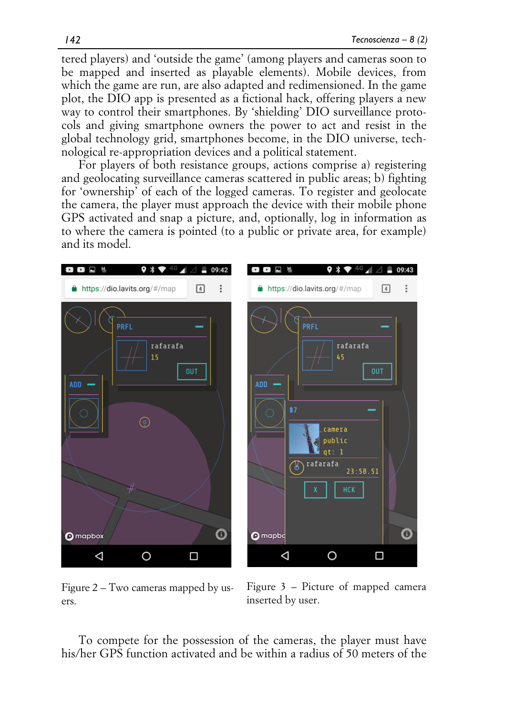tered players) and 'outside the game' (among players and cameras soon to be mapped and inserted as playable elements). Mobile devices, from which the game are run, are also adapted and redimensioned. In the game plot, the DIO app is presented as a fictional hack, offering players a new way to control their smartphones. By 'shielding' DIO surveillance protocols and giving smartphone owners the power to act and resist in the global technology grid, smartphones become, in the DIO universe, technological re-appropriation devices and a political statement.

For players of both resistance groups, actions comprise a) registering and geolocating surveillance cameras scattered in public areas; b) fighting for 'ownership' of each of the logged cameras. To register and geolocate the camera, the player must approach the device with their mobile phone GPS activated and snap a picture, and, optionally, log in information as to where the camera is pointed (to a public or private area, for example) and its model.



Figure 2 – Two cameras mapped by users.

Figure 3 – Picture of mapped camera inserted by user.

To compete for the possession of the cameras, the player must have his/her GPS function activated and be within a radius of 50 meters of the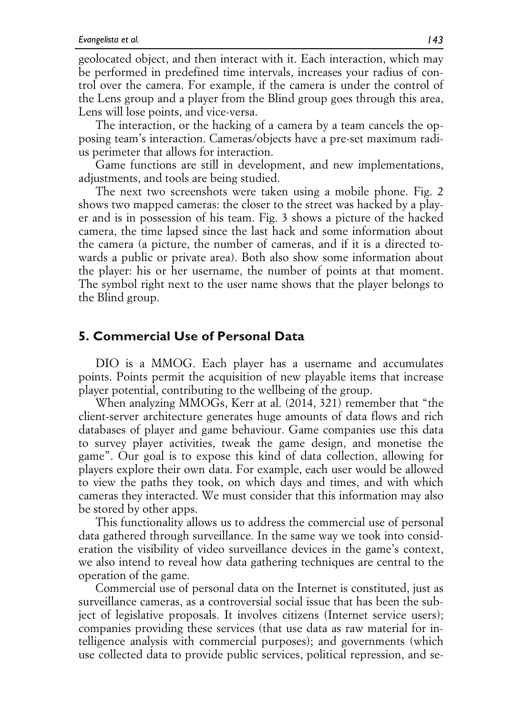geolocated object, and then interact with it. Each interaction, which may be performed in predefined time intervals, increases your radius of control over the camera. For example, if the camera is under the control of the Lens group and a player from the Blind group goes through this area, Lens will lose points, and vice-versa.

The interaction, or the hacking of a camera by a team cancels the opposing team's interaction. Cameras/objects have a pre-set maximum radius perimeter that allows for interaction.

Game functions are still in development, and new implementations, adjustments, and tools are being studied.

The next two screenshots were taken using a mobile phone. Fig. 2 shows two mapped cameras: the closer to the street was hacked by a player and is in possession of his team. Fig. 3 shows a picture of the hacked camera, the time lapsed since the last hack and some information about the camera (a picture, the number of cameras, and if it is a directed towards a public or private area). Both also show some information about the player: his or her username, the number of points at that moment. The symbol right next to the user name shows that the player belongs to the Blind group.

### **5. Commercial Use of Personal Data**

DIO is a MMOG. Each player has a username and accumulates points. Points permit the acquisition of new playable items that increase player potential, contributing to the wellbeing of the group.

When analyzing MMOGs, Kerr at al. (2014, 321) remember that "the client-server architecture generates huge amounts of data flows and rich databases of player and game behaviour. Game companies use this data to survey player activities, tweak the game design, and monetise the game". Our goal is to expose this kind of data collection, allowing for players explore their own data. For example, each user would be allowed to view the paths they took, on which days and times, and with which cameras they interacted. We must consider that this information may also be stored by other apps.

This functionality allows us to address the commercial use of personal data gathered through surveillance. In the same way we took into consideration the visibility of video surveillance devices in the game's context, we also intend to reveal how data gathering techniques are central to the operation of the game.

Commercial use of personal data on the Internet is constituted, just as surveillance cameras, as a controversial social issue that has been the subject of legislative proposals. It involves citizens (Internet service users); companies providing these services (that use data as raw material for intelligence analysis with commercial purposes); and governments (which use collected data to provide public services, political repression, and se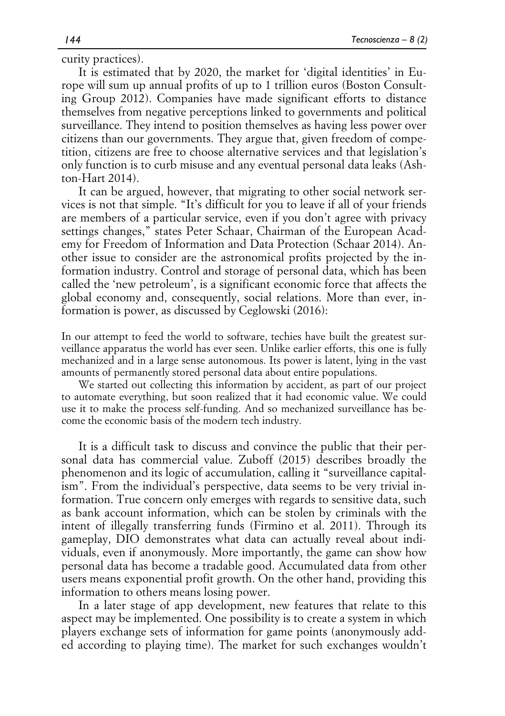curity practices).

It is estimated that by 2020, the market for 'digital identities' in Europe will sum up annual profits of up to 1 trillion euros (Boston Consulting Group 2012). Companies have made significant efforts to distance themselves from negative perceptions linked to governments and political surveillance. They intend to position themselves as having less power over citizens than our governments. They argue that, given freedom of competition, citizens are free to choose alternative services and that legislation's only function is to curb misuse and any eventual personal data leaks (Ashton-Hart 2014).

It can be argued, however, that migrating to other social network services is not that simple. "It's difficult for you to leave if all of your friends are members of a particular service, even if you don't agree with privacy settings changes," states Peter Schaar, Chairman of the European Academy for Freedom of Information and Data Protection (Schaar 2014). Another issue to consider are the astronomical profits projected by the information industry. Control and storage of personal data, which has been called the 'new petroleum', is a significant economic force that affects the global economy and, consequently, social relations. More than ever, information is power, as discussed by Ceglowski (2016):

In our attempt to feed the world to software, techies have built the greatest surveillance apparatus the world has ever seen. Unlike earlier efforts, this one is fully mechanized and in a large sense autonomous. Its power is latent, lying in the vast amounts of permanently stored personal data about entire populations.

We started out collecting this information by accident, as part of our project to automate everything, but soon realized that it had economic value. We could use it to make the process self-funding. And so mechanized surveillance has become the economic basis of the modern tech industry.

It is a difficult task to discuss and convince the public that their personal data has commercial value. Zuboff (2015) describes broadly the phenomenon and its logic of accumulation, calling it "surveillance capitalism". From the individual's perspective, data seems to be very trivial information. True concern only emerges with regards to sensitive data, such as bank account information, which can be stolen by criminals with the intent of illegally transferring funds (Firmino et al. 2011). Through its gameplay, DIO demonstrates what data can actually reveal about individuals, even if anonymously. More importantly, the game can show how personal data has become a tradable good. Accumulated data from other users means exponential profit growth. On the other hand, providing this information to others means losing power.

In a later stage of app development, new features that relate to this aspect may be implemented. One possibility is to create a system in which players exchange sets of information for game points (anonymously added according to playing time). The market for such exchanges wouldn't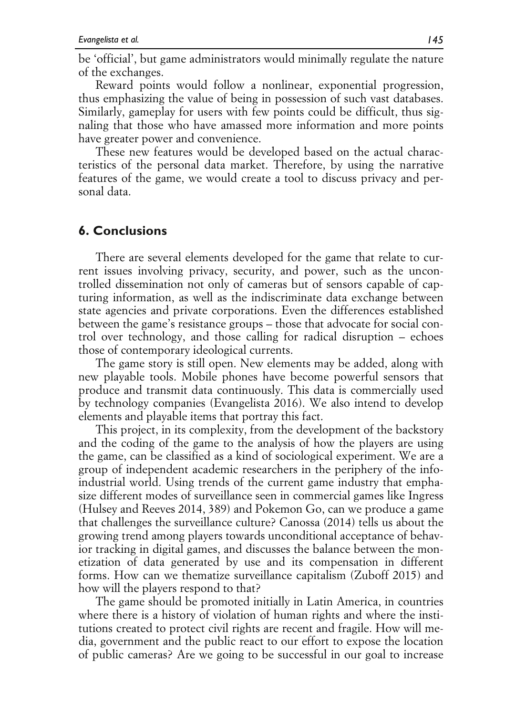be 'official', but game administrators would minimally regulate the nature of the exchanges.

Reward points would follow a nonlinear, exponential progression, thus emphasizing the value of being in possession of such vast databases. Similarly, gameplay for users with few points could be difficult, thus signaling that those who have amassed more information and more points have greater power and convenience.

These new features would be developed based on the actual characteristics of the personal data market. Therefore, by using the narrative features of the game, we would create a tool to discuss privacy and personal data.

#### **6. Conclusions**

There are several elements developed for the game that relate to current issues involving privacy, security, and power, such as the uncontrolled dissemination not only of cameras but of sensors capable of capturing information, as well as the indiscriminate data exchange between state agencies and private corporations. Even the differences established between the game's resistance groups – those that advocate for social control over technology, and those calling for radical disruption – echoes those of contemporary ideological currents.

The game story is still open. New elements may be added, along with new playable tools. Mobile phones have become powerful sensors that produce and transmit data continuously. This data is commercially used by technology companies (Evangelista 2016). We also intend to develop elements and playable items that portray this fact.

This project, in its complexity, from the development of the backstory and the coding of the game to the analysis of how the players are using the game, can be classified as a kind of sociological experiment. We are a group of independent academic researchers in the periphery of the infoindustrial world. Using trends of the current game industry that emphasize different modes of surveillance seen in commercial games like Ingress (Hulsey and Reeves 2014, 389) and Pokemon Go, can we produce a game that challenges the surveillance culture? Canossa (2014) tells us about the growing trend among players towards unconditional acceptance of behavior tracking in digital games, and discusses the balance between the monetization of data generated by use and its compensation in different forms. How can we thematize surveillance capitalism (Zuboff 2015) and how will the players respond to that?

The game should be promoted initially in Latin America, in countries where there is a history of violation of human rights and where the institutions created to protect civil rights are recent and fragile. How will media, government and the public react to our effort to expose the location of public cameras? Are we going to be successful in our goal to increase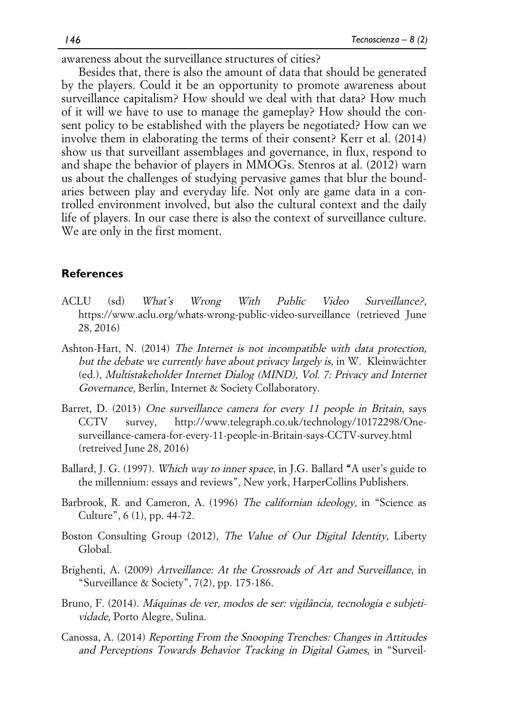awareness about the surveillance structures of cities?

Besides that, there is also the amount of data that should be generated by the players. Could it be an opportunity to promote awareness about surveillance capitalism? How should we deal with that data? How much of it will we have to use to manage the gameplay? How should the consent policy to be established with the players be negotiated? How can we involve them in elaborating the terms of their consent? Kerr et al. (2014) show us that surveillant assemblages and governance, in flux, respond to and shape the behavior of players in MMOGs. Stenros at al. (2012) warn us about the challenges of studying pervasive games that blur the boundaries between play and everyday life. Not only are game data in a controlled environment involved, but also the cultural context and the daily life of players. In our case there is also the context of surveillance culture. We are only in the first moment.

#### **References**

- ACLU (sd) What's Wrong With Public Video Surveillance?, https://www.aclu.org/whats-wrong-public-video-surveillance (retrieved June 28, 2016)
- Ashton-Hart, N. (2014) The Internet is not incompatible with data protection, but the debate we currently have about privacy largely is, in W. Kleinwächter (ed.), Multistakeholder Internet Dialog (MIND), Vol. 7: Privacy and Internet Governance, Berlin, Internet & Society Collaboratory.
- Barret, D. (2013) One surveillance camera for every 11 people in Britain, says CCTV survey, http://www.telegraph.co.uk/technology/10172298/Onesurveillance-camera-for-every-11-people-in-Britain-says-CCTV-survey.html (retreived June 28, 2016)
- Ballard, J. G. (1997). Which way to inner space, in J.G. Ballard "A user's guide to the millennium: essays and reviews", New york, HarperCollins Publishers.
- Barbrook, R. and Cameron, A. (1996) The californian ideology, in "Science as Culture", 6 (1), pp. 44-72.
- Boston Consulting Group (2012), The Value of Our Digital Identity, Liberty Global.
- Brighenti, A. (2009) Artveillance: At the Crossroads of Art and Surveillance, in "Surveillance & Society", 7(2), pp. 175-186.
- Bruno, F. (2014). Máquinas de ver, modos de ser: vigilância, tecnologia e subjetividade, Porto Alegre, Sulina.
- Canossa, A. (2014) Reporting From the Snooping Trenches: Changes in Attitudes and Perceptions Towards Behavior Tracking in Digital Games, in "Surveil-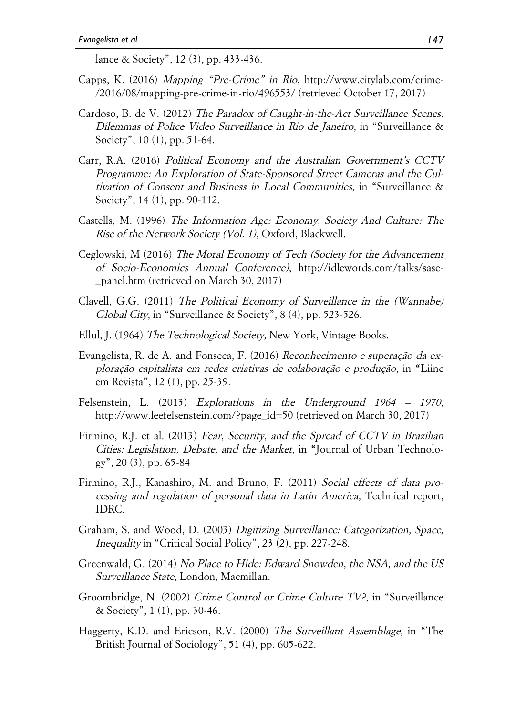lance & Society", 12 (3), pp. 433-436.

- Capps, K. (2016) Mapping "Pre-Crime" in Rio, http://www.citylab.com/crime- /2016/08/mapping-pre-crime-in-rio/496553/ (retrieved October 17, 2017)
- Cardoso, B. de V. (2012) The Paradox of Caught-in-the-Act Surveillance Scenes: Dilemmas of Police Video Surveillance in Rio de Janeiro, in "Surveillance & Society", 10 (1), pp. 51-64.
- Carr, R.A. (2016) Political Economy and the Australian Government's CCTV Programme: An Exploration of State-Sponsored Street Cameras and the Cultivation of Consent and Business in Local Communities, in "Surveillance & Society", 14 (1), pp. 90-112.
- Castells, M. (1996) The Information Age: Economy, Society And Culture: The Rise of the Network Society (Vol. 1), Oxford, Blackwell.
- Ceglowski, M (2016) The Moral Economy of Tech (Society for the Advancement of Socio-Economics Annual Conference), http://idlewords.com/talks/sase- \_panel.htm (retrieved on March 30, 2017)
- Clavell, G.G. (2011) The Political Economy of Surveillance in the (Wannabe) Global City, in "Surveillance & Society", 8 (4), pp. 523-526.
- Ellul, J. (1964) The Technological Society, New York, Vintage Books.
- Evangelista, R. de A. and Fonseca, F. (2016) Reconhecimento e superação da exploração capitalista em redes criativas de colaboração e produção, in "Liinc em Revista", 12 (1), pp. 25-39.
- Felsenstein, L. (2013) Explorations in the Underground 1964 1970, http://www.leefelsenstein.com/?page\_id=50 (retrieved on March 30, 2017)
- Firmino, R.J. et al. (2013) Fear, Security, and the Spread of CCTV in Brazilian Cities: Legislation, Debate, and the Market, in "Journal of Urban Technology", 20 (3), pp. 65-84
- Firmino, R.J., Kanashiro, M. and Bruno, F. (2011) Social effects of data processing and regulation of personal data in Latin America, Technical report, IDRC.
- Graham, S. and Wood, D. (2003) Digitizing Surveillance: Categorization, Space, Inequality in "Critical Social Policy", 23 (2), pp. 227-248.
- Greenwald, G. (2014) No Place to Hide: Edward Snowden, the NSA, and the US Surveillance State, London, Macmillan.
- Groombridge, N. (2002) Crime Control or Crime Culture TV?, in "Surveillance & Society", 1 (1), pp. 30-46.
- Haggerty, K.D. and Ericson, R.V. (2000) The Surveillant Assemblage, in "The British Journal of Sociology", 51 (4), pp. 605-622.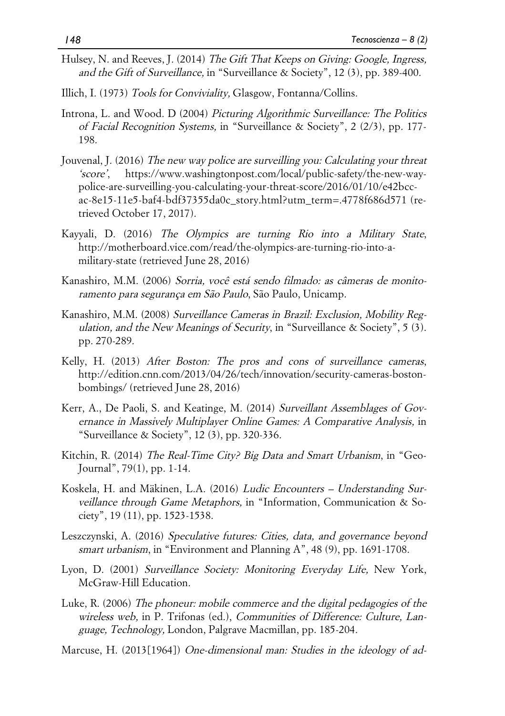- Hulsey, N. and Reeves, J. (2014) The Gift That Keeps on Giving: Google, Ingress, and the Gift of Surveillance, in "Surveillance & Society", 12 (3), pp. 389-400.
- Illich, I. (1973) Tools for Conviviality, Glasgow, Fontanna/Collins.
- Introna, L. and Wood. D (2004) Picturing Algorithmic Surveillance: The Politics of Facial Recognition Systems, in "Surveillance & Society", 2 (2/3), pp. 177- 198.
- Jouvenal, J. (2016) The new way police are surveilling you: Calculating your threat 'score', https://www.washingtonpost.com/local/public-safety/the-new-waypolice-are-surveilling-you-calculating-your-threat-score/2016/01/10/e42bccac-8e15-11e5-baf4-bdf37355da0c\_story.html?utm\_term=.4778f686d571 (retrieved October 17, 2017).
- Kayyali, D. (2016) The Olympics are turning Rio into a Military State, http://motherboard.vice.com/read/the-olympics-are-turning-rio-into-amilitary-state (retrieved June 28, 2016)
- Kanashiro, M.M. (2006) Sorria, você está sendo filmado: as câmeras de monitoramento para segurança em São Paulo, São Paulo, Unicamp.
- Kanashiro, M.M. (2008) Surveillance Cameras in Brazil: Exclusion, Mobility Regulation, and the New Meanings of Security, in "Surveillance & Society", 5 (3). pp. 270-289.
- Kelly, H. (2013) After Boston: The pros and cons of surveillance cameras, http://edition.cnn.com/2013/04/26/tech/innovation/security-cameras-bostonbombings/ (retrieved June 28, 2016)
- Kerr, A., De Paoli, S. and Keatinge, M. (2014) Surveillant Assemblages of Governance in Massively Multiplayer Online Games: A Comparative Analysis, in "Surveillance & Society", 12 (3), pp. 320-336.
- Kitchin, R. (2014) The Real-Time City? Big Data and Smart Urbanism, in "Geo-Journal", 79(1), pp. 1-14.
- Koskela, H. and Mäkinen, L.A. (2016) Ludic Encounters Understanding Surveillance through Game Metaphors, in "Information, Communication & Society", 19 (11), pp. 1523-1538.
- Leszczynski, A. (2016) Speculative futures: Cities, data, and governance beyond smart urbanism, in "Environment and Planning A", 48 (9), pp. 1691-1708.
- Lyon, D. (2001) Surveillance Society: Monitoring Everyday Life, New York, McGraw-Hill Education.
- Luke, R. (2006) The phoneur: mobile commerce and the digital pedagogies of the wireless web, in P. Trifonas (ed.), Communities of Difference: Culture, Language, Technology, London, Palgrave Macmillan, pp. 185-204.
- Marcuse, H. (2013[1964]) One-dimensional man: Studies in the ideology of ad-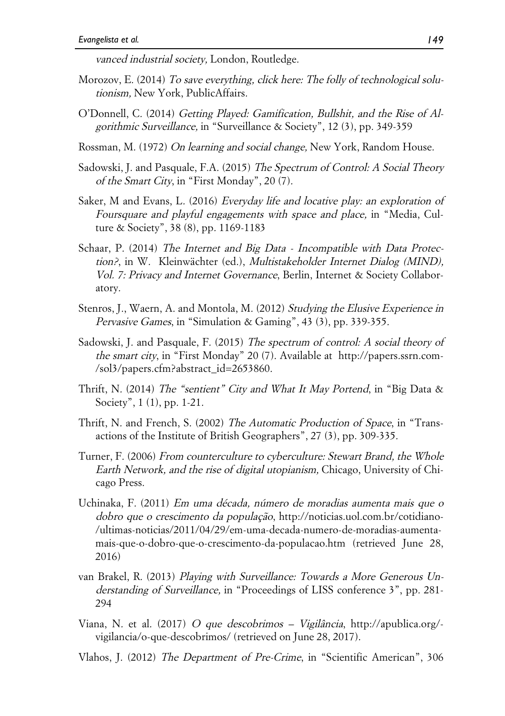vanced industrial society, London, Routledge.

- Morozov, E. (2014) To save everything, click here: The folly of technological solutionism, New York, PublicAffairs.
- O'Donnell, C. (2014) Getting Played: Gamification, Bullshit, and the Rise of Algorithmic Surveillance, in "Surveillance & Society", 12 (3), pp. 349-359
- Rossman, M. (1972) On learning and social change, New York, Random House.
- Sadowski, J. and Pasquale, F.A. (2015) The Spectrum of Control: A Social Theory of the Smart City, in "First Monday", 20 (7).
- Saker, M and Evans, L. (2016) Everyday life and locative play: an exploration of Foursquare and playful engagements with space and place, in "Media, Culture & Society", 38 (8), pp. 1169-1183
- Schaar, P. (2014) The Internet and Big Data Incompatible with Data Protection?, in W. Kleinwächter (ed.), Multistakeholder Internet Dialog (MIND), Vol. 7: Privacy and Internet Governance, Berlin, Internet & Society Collaboratory.
- Stenros, J., Waern, A. and Montola, M. (2012) Studying the Elusive Experience in Pervasive Games, in "Simulation & Gaming", 43 (3), pp. 339-355.
- Sadowski, J. and Pasquale, F. (2015) The spectrum of control: A social theory of the smart city, in "First Monday" 20 (7). Available at http://papers.ssrn.com-/sol3/papers.cfm?abstract\_id=2653860.
- Thrift, N. (2014) The "sentient" City and What It May Portend, in "Big Data & Society", 1 (1), pp. 1-21.
- Thrift, N. and French, S. (2002) The Automatic Production of Space, in "Transactions of the Institute of British Geographers", 27 (3), pp. 309-335.
- Turner, F. (2006) From counterculture to cyberculture: Stewart Brand, the Whole Earth Network, and the rise of digital utopianism, Chicago, University of Chicago Press.
- Uchinaka, F. (2011) Em uma década, número de moradias aumenta mais que o dobro que o crescimento da população, http://noticias.uol.com.br/cotidiano- /ultimas-noticias/2011/04/29/em-uma-decada-numero-de-moradias-aumentamais-que-o-dobro-que-o-crescimento-da-populacao.htm (retrieved June 28, 2016)
- van Brakel, R. (2013) Playing with Surveillance: Towards a More Generous Understanding of Surveillance, in "Proceedings of LISS conference 3", pp. 281- 294
- Viana, N. et al. (2017) O que descobrimos Vigilância, http://apublica.org/ vigilancia/o-que-descobrimos/ (retrieved on June 28, 2017).
- Vlahos, J. (2012) The Department of Pre-Crime, in "Scientific American", 306